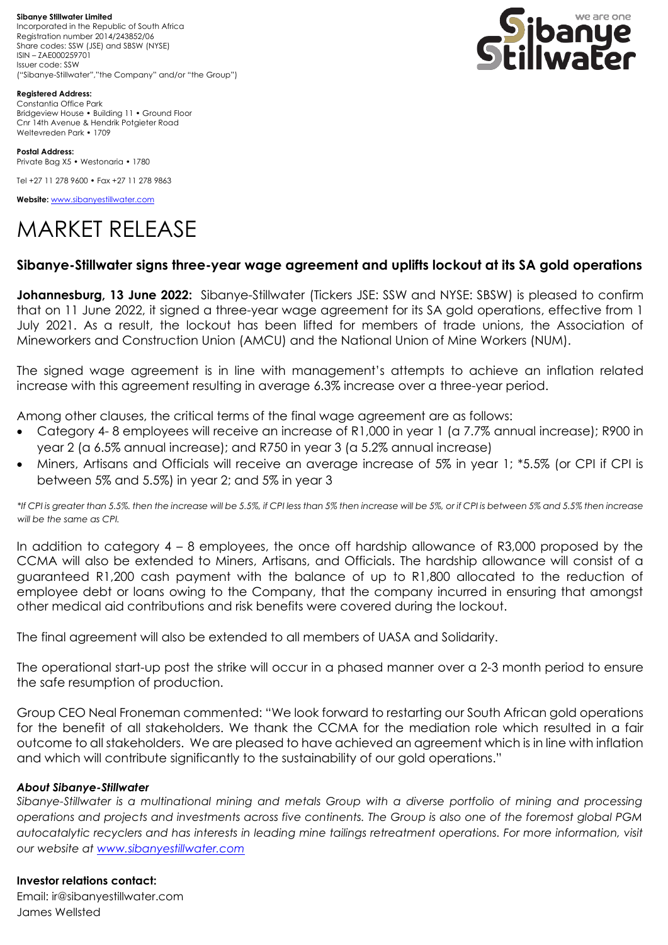**Sibanye Stillwater Limited**  Incorporated in the Republic of South Africa Registration number 2014/243852/06 Share codes: SSW (JSE) and SBSW (NYSE) ISIN – ZAE000259701 Issuer code: SSW ("Sibanye-Stillwater","the Company" and/or "the Group")



**Registered Address:** Constantia Office Park Bridgeview House • Building 11 • Ground Floor Cnr 14th Avenue & Hendrik Potgieter Road Weltevreden Park • 1709

**Postal Address:** Private Bag X5 • Westonaria • 1780

Tel +27 11 278 9600 • Fax +27 11 278 9863

**Website:** [www.sibanyestillwater.com](http://www.sibanyestillwater.com/)

# MARKET RELEASE

## **Sibanye-Stillwater signs three-year wage agreement and uplifts lockout at its SA gold operations**

**Johannesburg, 13 June 2022:** Sibanye-Stillwater (Tickers JSE: SSW and NYSE: SBSW) is pleased to confirm that on 11 June 2022, it signed a three-year wage agreement for its SA gold operations, effective from 1 July 2021. As a result, the lockout has been lifted for members of trade unions, the Association of Mineworkers and Construction Union (AMCU) and the National Union of Mine Workers (NUM).

The signed wage agreement is in line with management's attempts to achieve an inflation related increase with this agreement resulting in average 6.3% increase over a three-year period.

Among other clauses, the critical terms of the final wage agreement are as follows:

- Category 4- 8 employees will receive an increase of R1,000 in year 1 (a 7.7% annual increase); R900 in year 2 (a 6.5% annual increase); and R750 in year 3 (a 5.2% annual increase)
- Miners, Artisans and Officials will receive an average increase of 5% in year 1; \*5.5% (or CPI if CPI is between 5% and 5.5%) in year 2; and 5% in year 3

*\*If CPI is greater than 5.5%. then the increase will be 5.5%, if CPI less than 5% then increase will be 5%, or if CPI is between 5% and 5.5% then increase will be the same as CPI.*

In addition to category 4 – 8 employees, the once off hardship allowance of R3,000 proposed by the CCMA will also be extended to Miners, Artisans, and Officials. The hardship allowance will consist of a guaranteed R1,200 cash payment with the balance of up to R1,800 allocated to the reduction of employee debt or loans owing to the Company, that the company incurred in ensuring that amongst other medical aid contributions and risk benefits were covered during the lockout.

The final agreement will also be extended to all members of UASA and Solidarity.

The operational start-up post the strike will occur in a phased manner over a 2-3 month period to ensure the safe resumption of production.

Group CEO Neal Froneman commented: "We look forward to restarting our South African gold operations for the benefit of all stakeholders. We thank the CCMA for the mediation role which resulted in a fair outcome to all stakeholders. We are pleased to have achieved an agreement which is in line with inflation and which will contribute significantly to the sustainability of our gold operations."

### *About Sibanye-Stillwater*

*Sibanye-Stillwater is a multinational mining and metals Group with a diverse portfolio of mining and processing operations and projects and investments across five continents. The Group is also one of the foremost global PGM autocatalytic recyclers and has interests in leading mine tailings retreatment operations. For more information, visit our website at [www.sibanyestillwater.com](http://www.sibanyestillwater.com/)*

### **Investor relations contact:**

Email: ir@sibanyestillwater.com James Wellsted